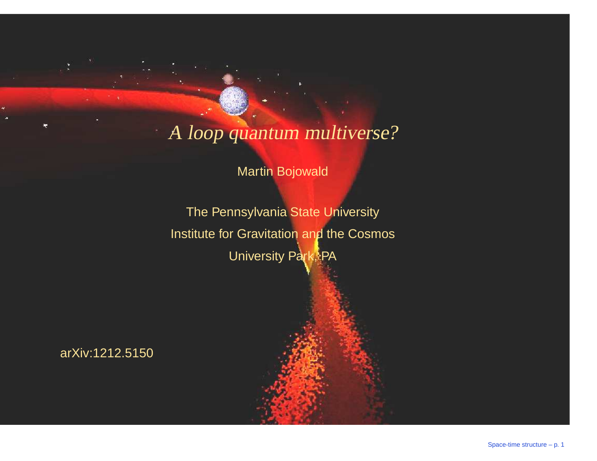## A loop quantum multiverse?

Martin Bojowald

The Pennsylvania State UniversityInstitute for Gravitation and the CosmosUniversity Park, PA

arXiv:1212.5150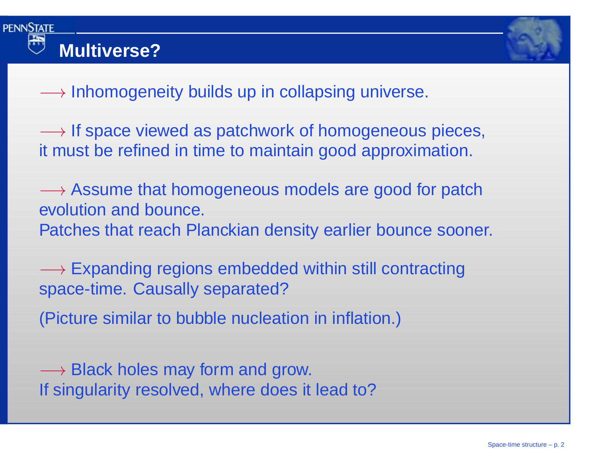



 $\longrightarrow$  Inhomogeneity builds up in collapsing universe.

→ If space viewed as patchwork of homogeneous pieces,<br>it must be refined in time to maintain good approximation it must be refined in time to maintain good approximation.

—→ Assume that homogeneous models are good for patch<br>evolution and bounce evolution and bounce. Patches that reach Planckian density earlier bounce sooner.

—→ Expanding regions embedded within still contracting<br>space-time. Causally separated? space-time. Causally separated?

(Picture similar to bubble nucleation in inflation.)

—→ Black holes may form and grow.<br>If singularity resolved, where does it If singularity resolved, where does it lead to?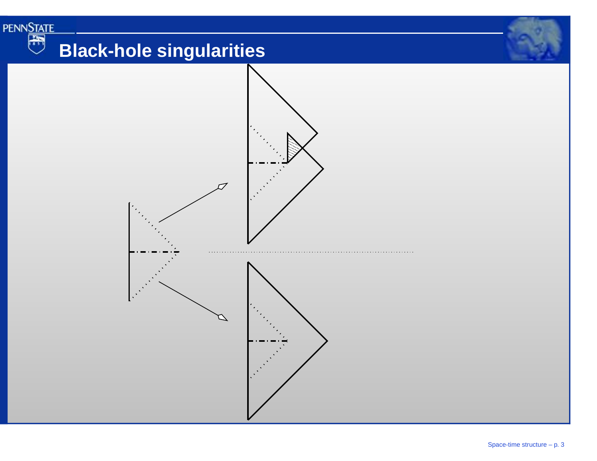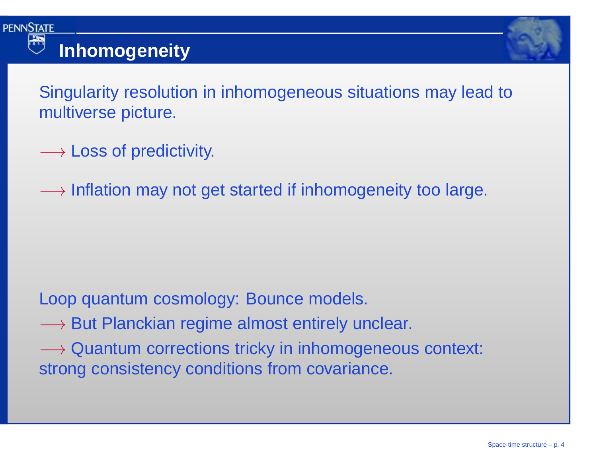



Singularity resolution in inhomogeneous situations may lead tomultiverse picture.

- $\longrightarrow$  Loss of predictivity.
- $\longrightarrow$  Inflation may not get started if inhomogeneity too large.

### Loop quantum cosmology: Bounce models.

- −→ But Planckian regime almost entirely unclear.
- → Quantum corrections tricky in inhomogeneous context:<br>strong consistency conditions from covariance strong consistency conditions from covariance.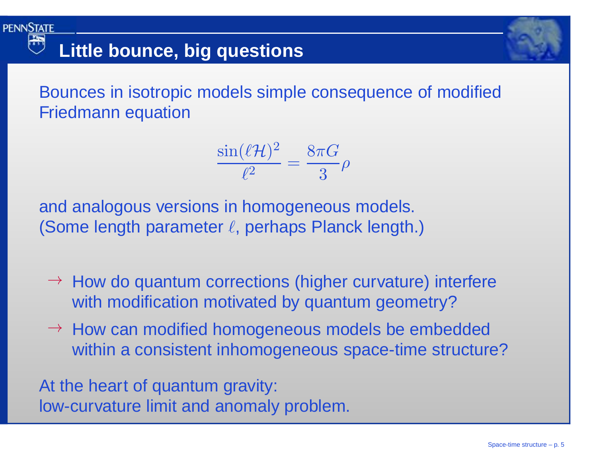Bounces in isotropic models simple consequence of modifiedFriedmann equation

> $\sin($  $\ell$  ${\mathcal H}$  $\left( \right)$ 2 $\overline{\ell^2}$  =  $8\pi G$  3 $\rho$

and analogous versions in homogeneous models. (Some length parameter  $\ell$ , perhaps Planck length.)

- $\rightarrow$  How do quantum corrections (higher curvature) interfere with modification motivated by quantum geometry?
- → How can modified homogeneous models be embedded within a consistent inhomogeneous space-time structure?

At the heart of quantum gravity: low-curvature limit and anomaly problem.

**Little bounce, big questions**

**PENNSTATE**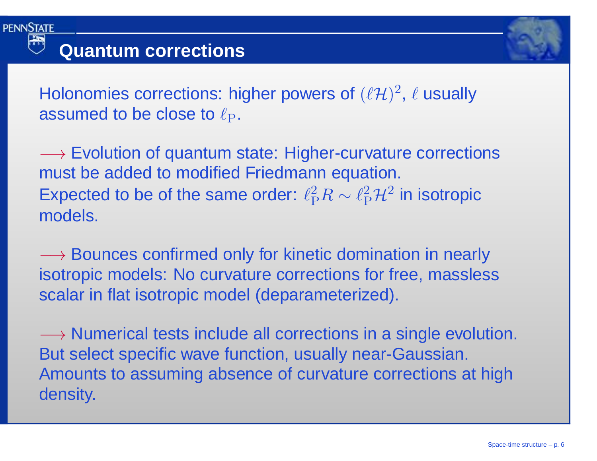



Holonomies corrections: higher powers of  $(\ell \mathcal{H})^2$ ,  $\ell$  usually assumed to be close to  $\ell_{\rm P}.$ 

—→ Evolution of quantum state: Higher-curvature corrections<br>must be added to modified Friedmann equation must be added to modified Friedmann equation. Expected to be of the same order:  $\ell_{\rm P}^2R$  $R\sim \ell_{\rm P}^2\mathcal{H}^2$  in isotropic models.

→ Bounces confirmed only for kinetic domination in nearly<br>isotronic models: No curvature corrections for free\_massles isotropic models: No curvature corrections for free, masslessscalar in flat isotropic model (deparameterized).

—→ Numerical tests include all corrections in a single evolution.<br>But select specific wave function, usually near-Gaussian But select specific wave function, usually near-Gaussian. Amounts to assuming absence of curvature corrections at highdensity.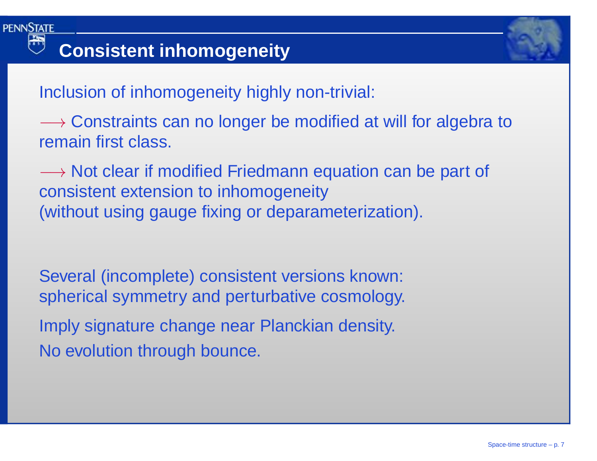



Inclusion of inhomogeneity highly non-trivial:

→ Constraints can no longer be modified at will for algebra to<br>remain first class remain first class.

—→ Not clear if modified Friedmann equation can be part of<br>consistent extension to inhomogeneity consistent extension to inhomogeneity(without using gauge fixing or deparameterization).

Several (incomplete) consistent versions known: spherical symmetry and perturbative cosmology. Imply signature change near Planckian density. No evolution through bounce.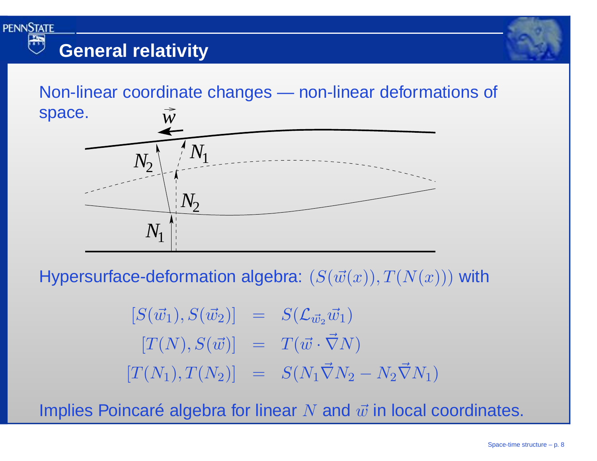

Non-linear coordinate changes — non-linear deformations of space.*w*



Hypersurface-deformation algebra:  $(S(\vec{w}(x)), T(N(x)))$  with

$$
[S(\vec{w}_1), S(\vec{w}_2)] = S(\mathcal{L}_{\vec{w}_2}\vec{w}_1)
$$
  
\n
$$
[T(N), S(\vec{w})] = T(\vec{w} \cdot \vec{\nabla}N)
$$
  
\n
$$
[T(N_1), T(N_2)] = S(N_1\vec{\nabla}N_2 - N_2\vec{\nabla}N_1)
$$

Implies Poincaré algebra for linear  $N$  and  $\vec w$  in local coordinates.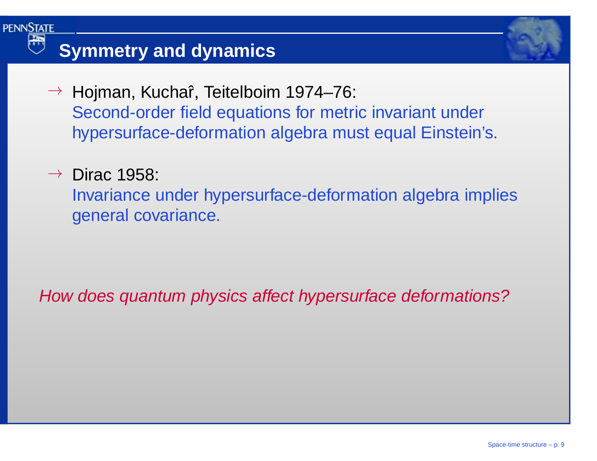### **Symmetry and dynamics**

- → Hojman, Kuchaî, Teitelboim 1974–76:<br>Cesarel arder field equations for matri Second-order field equations for metric invariant underhypersurface-deformation algebra must equal Einstein's.
- $\rightarrow$  Dirac 1958:

**PENNSTATE** 

Invariance under hypersurface-deformation algebra impliesgeneral covariance.

How does quantum physics affect hypersurface deformations?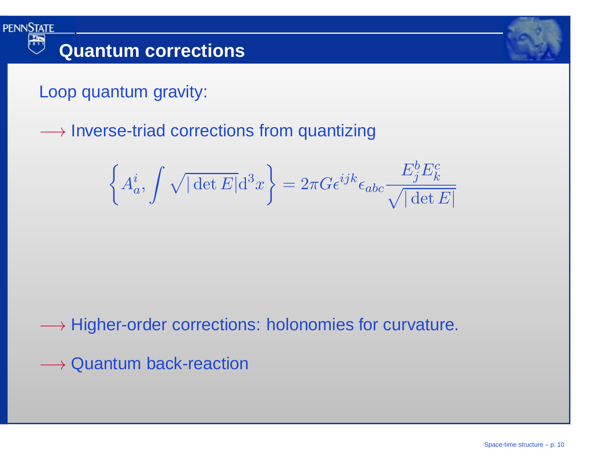



Loop quantum gravity:

**PENNSTATE** 

 $\longrightarrow$  Inverse-triad corrections from quantizing

$$
\left\{ A_a^i, \int \sqrt{|\det E|} d^3x \right\} = 2\pi G \epsilon^{ijk} \epsilon_{abc} \frac{E_j^b E_k^c}{\sqrt{|\det E|}}
$$

 $\longrightarrow$  Higher-order corrections: holonomies for curvature.

 $\longrightarrow$  Quantum back-reaction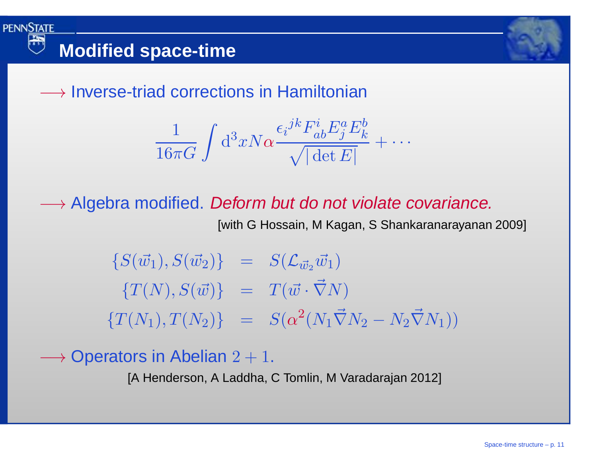



 $\longrightarrow$  Inverse-triad corrections in Hamiltonian

$$
\frac{1}{16\pi G} \int d^3x N \alpha \frac{\epsilon_i^{jk} F^i_{ab} E^a_j E^b_k}{\sqrt{|\det E|}} + \cdots
$$

→ Algebra modified. *Deform but do not violate covariance.*<br>With G Hossain M Kagan, S Shankaranarayanan

[with G Hossain, M Kagan, S Shankaranarayanan 2009]

 $\{S(\vec{w_1}), S(\vec{w_2})\} = S(\mathcal{L}_{\vec{w_2}}\vec{w_1})$  $\{T(N), S(\vec{w})\}$  =  $T(\vec{w}\cdot \vec{\nabla}N)$  $\{T(N_1), T(N_2)\} = S(\alpha^2(N_1 \vec{\nabla} N_2 - N_2 \vec{\nabla} N_1))$ 

 $\longrightarrow$  Operators in Abelian  $2+1$ .

[A Henderson, A Laddha, C Tomlin, M Varadarajan 2012]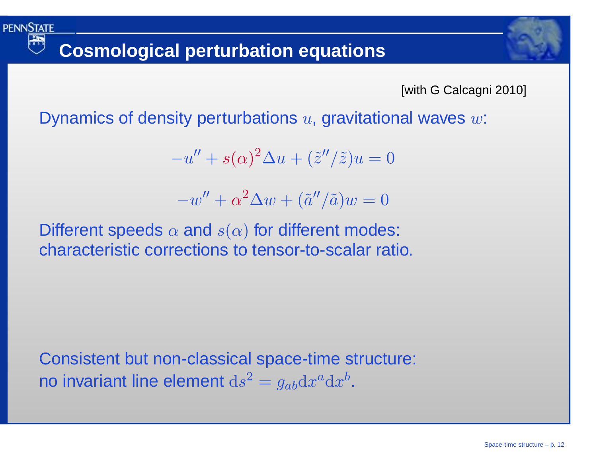需

[with G Calcagni 2010]

Dynamics of density perturbations  $u,$  gravitational waves  $w\mathrm{:}$ 

 $-u$  $''+s(\alpha)^2$  $^2\Delta u$  $u+(\tilde{z}''/\tilde{z})u=0$ 

 $-w$  $''+\alpha$ 2 $^2\Delta w$  $w + (\tilde{a}''/\tilde{a})w = 0$ 

Different speeds  $\alpha$  and  $s(\alpha)$  for different modes: characteristic corrections to tensor-to-scalar ratio.

Consistent but non-classical space-time structure: no invariant line element  $\mathrm{d}s$  $\, 2$  $^2=g_{ab}\mathrm{d} x^a$  ${}^a{\rm d}x$  $\it b$ .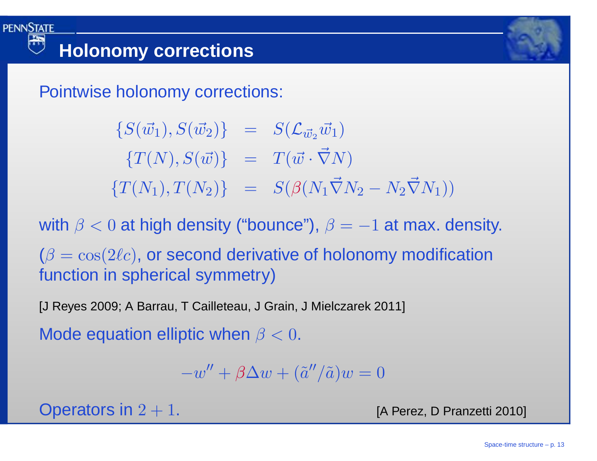Pointwise holonomy corrections:

 $\{S(\vec{w_1}), S(\vec{w_2})\} = S(\mathcal{L}_{\vec{w_2}}\vec{w_1})$  $\{T(N), S(\vec{w})\}$  =  $T(\vec{w}\cdot \vec{\nabla}N)$  $\{T(N_1), T(N_2)\}$  =  $S(\beta(N_1\vec{\nabla}N_2))$  $\bar{N}_2-N_2\vec{\nabla}N_1))$ 

with  $\beta < 0$  at high density ("bounce"),  $\beta = -1$  at max. density.

 $(\beta=\cos(2\ell c),$  or second derivative of holonomy modification function in spherical symmetry)

[J Reyes 2009; A Barrau, T Cailleteau, J Grain, J Mielczarek 2011]

Mode equation elliptic when  $\beta < 0.$ 

 $-w'' + \beta \Delta w + (\tilde{a}''/\tilde{a})w = 0$ 

Operators in  $2 + 1$ .

[A Perez, D Pranzetti 2010]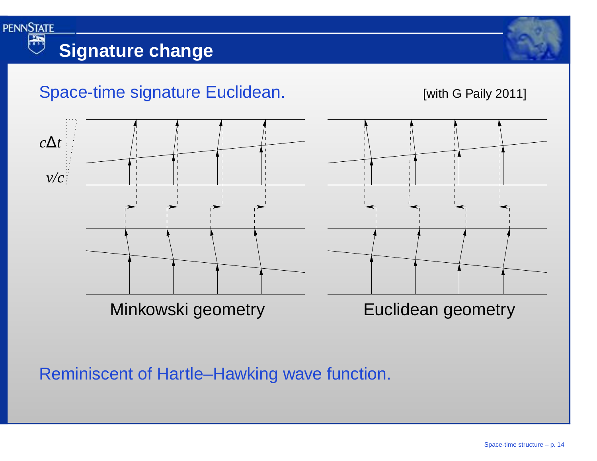

#### Space-time signature Euclidean. [with G Paily 2011]



Reminiscent of Hartle–Hawking wave function.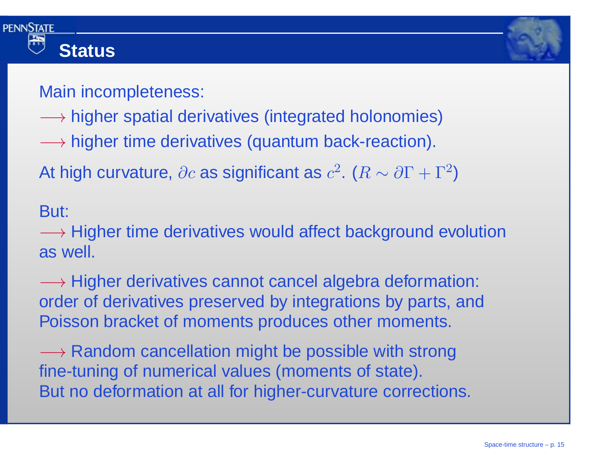



### Main incompleteness:

- → higher spatial derivatives (integrated holonomies)<br>→ higher time derivatives (susatum hask reaction)
- $\longrightarrow$  higher time derivatives (quantum back-reaction).

At high curvature,  $\partial c$  as significant as  $c^2.$   $(R \sim \partial \Gamma + \Gamma^2)$ 

But:

—→ Higher time derivatives would affect background evolution<br>as well as well.

→ Higher derivatives cannot cancel algebra deformation:<br>order of derivatives preserved by integrations by parts, and order of derivatives preserved by integrations by parts, andPoisson bracket of moments produces other moments.

—→ Random cancellation might be possible with strong<br>fine-tuning of numerical values (moments of state) fine-tuning of numerical values (moments of state). But no deformation at all for higher-curvature corrections.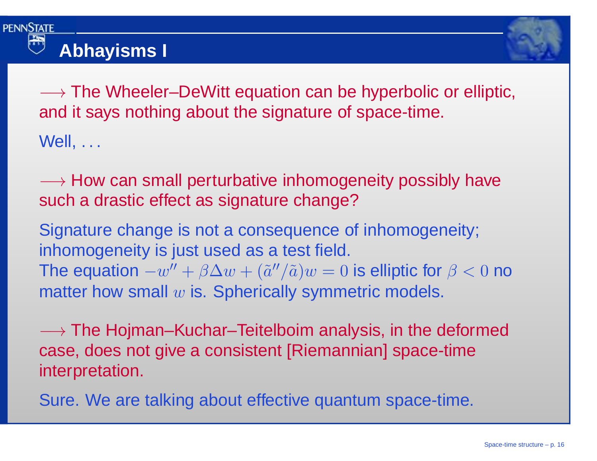



—→ The Wheeler–DeWitt equation can be hyperbolic or elliptic,<br>and it says nothing about the signature of space-time and it says nothing about the signature of space-time. Well, . . .

—→ How can small perturbative inhomogeneity possibly have<br>such a drastic effect as signature change? such <sup>a</sup> drastic effect as signature change?

Signature change is not <sup>a</sup> consequence of inhomogeneity; inhomogeneity is just used as <sup>a</sup> test field. The equation  $-w'' + \beta \Delta w + (\tilde{a}''/\tilde{a})w = 0$  is elliptic for  $\beta < 0$  no<br>matter have amalles in Spharically avamatria madels matter how small  $w$  is. Spherically symmetric models.

—→ The Hojman–Kuchar–Teitelboim analysis, in the deformed<br>case\_does.not.give.a.consistent [Riemannian] space-time case, does not give <sup>a</sup> consistent [Riemannian] space-timeinterpretation.

Sure. We are talking about effective quantum space-time.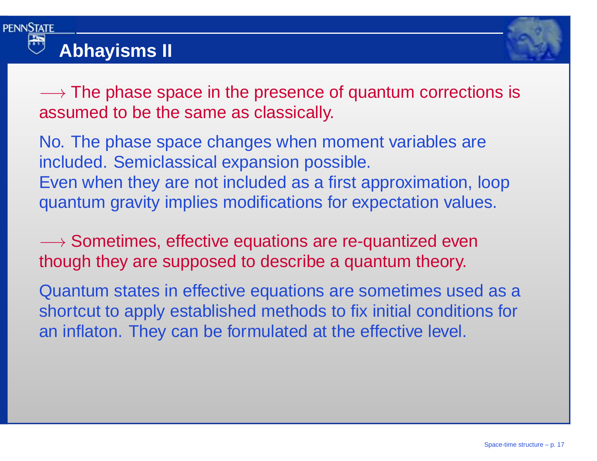

### **Abhayisms II**



—→ The phase space in the presence of quantum corrections is<br>assumed to be the same as classically assumed to be the same as classically.

No. The phase space changes when moment variables areincluded. Semiclassical expansion possible. Even when they are not included as <sup>a</sup> first approximation, loopquantum gravity implies modifications for expectation values.

—→ Sometimes, effective equations are re-quantized even<br>though they are supposed to describe a quantum theory though they are supposed to describe <sup>a</sup> quantum theory.

Quantum states in effective equations are sometimes used as <sup>a</sup> shortcut to apply established methods to fix initial conditions foran inflaton. They can be formulated at the effective level.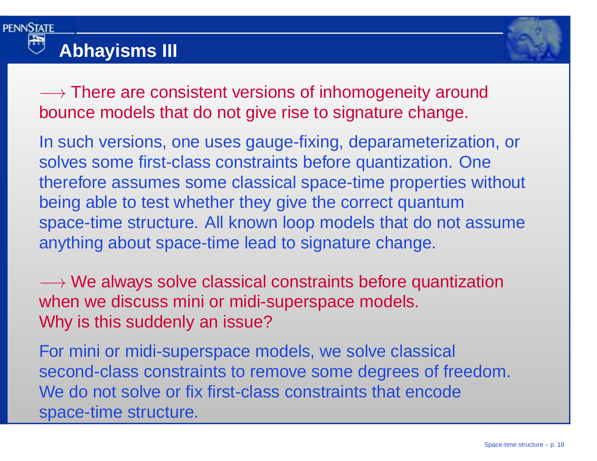

# **Abhayisms III**



→ There are consistent versions of inhomogeneity around<br>hounce models that do not give rise to signature change bounce models that do not give rise to signature change.

In such versions, one uses gauge-fixing, deparameterization, orsolves some first-class constraints before quantization. One therefore assumes some classical space-time properties without being able to test whether they give the correct quantumspace-time structure. All known loop models that do not assumeanything about space-time lead to signature change.

→ We always solve classical constraints before quantization<br>when we discuss mini or midi-sunerspace models when we discuss mini or midi-superspace models. Why is this suddenly an issue?

For mini or midi-superspace models, we solve classical second-class constraints to remove some degrees of freedom. We do not solve or fix first-class constraints that encode space-time structure.